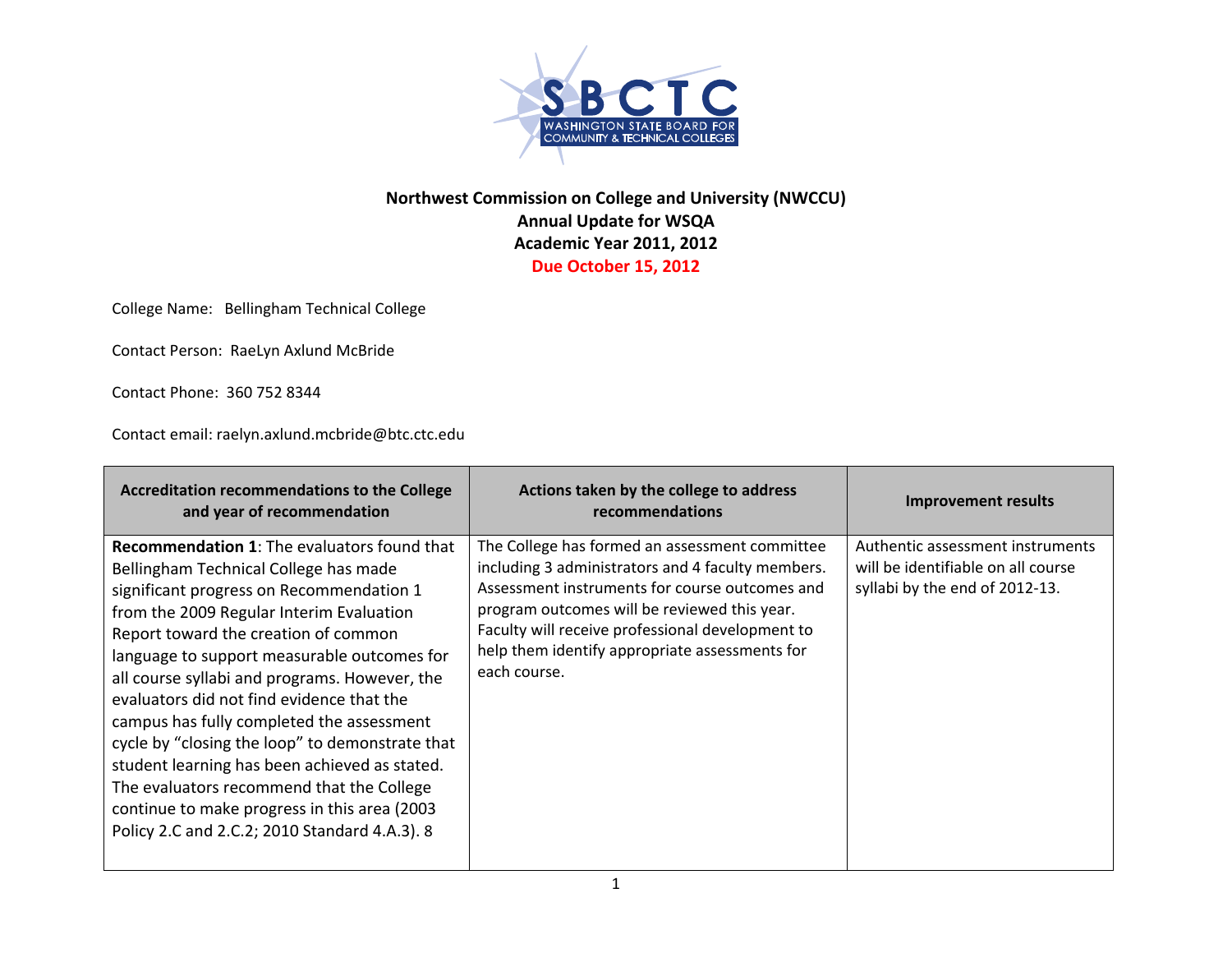

## **Northwest Commission on College and University (NWCCU) Annual Update for WSQA Academic Year 2011, 2012 Due October 15, 2012**

College Name: Bellingham Technical College

Contact Person: RaeLyn Axlund McBride

Contact Phone: 360 752 8344

Contact email: raelyn.axlund.mcbride@btc.ctc.edu

| <b>Accreditation recommendations to the College</b><br>and year of recommendation                                                                                                                                                                                                                                                                                                                                                                                                                                                                                                                                                                                       | Actions taken by the college to address<br>recommendations                                                                                                                                                                                                                                                                  | Improvement results                                                                                      |
|-------------------------------------------------------------------------------------------------------------------------------------------------------------------------------------------------------------------------------------------------------------------------------------------------------------------------------------------------------------------------------------------------------------------------------------------------------------------------------------------------------------------------------------------------------------------------------------------------------------------------------------------------------------------------|-----------------------------------------------------------------------------------------------------------------------------------------------------------------------------------------------------------------------------------------------------------------------------------------------------------------------------|----------------------------------------------------------------------------------------------------------|
| <b>Recommendation 1:</b> The evaluators found that<br>Bellingham Technical College has made<br>significant progress on Recommendation 1<br>from the 2009 Regular Interim Evaluation<br>Report toward the creation of common<br>language to support measurable outcomes for<br>all course syllabi and programs. However, the<br>evaluators did not find evidence that the<br>campus has fully completed the assessment<br>cycle by "closing the loop" to demonstrate that<br>student learning has been achieved as stated.<br>The evaluators recommend that the College<br>continue to make progress in this area (2003<br>Policy 2.C and 2.C.2; 2010 Standard 4.A.3). 8 | The College has formed an assessment committee<br>including 3 administrators and 4 faculty members.<br>Assessment instruments for course outcomes and<br>program outcomes will be reviewed this year.<br>Faculty will receive professional development to<br>help them identify appropriate assessments for<br>each course. | Authentic assessment instruments<br>will be identifiable on all course<br>syllabi by the end of 2012-13. |